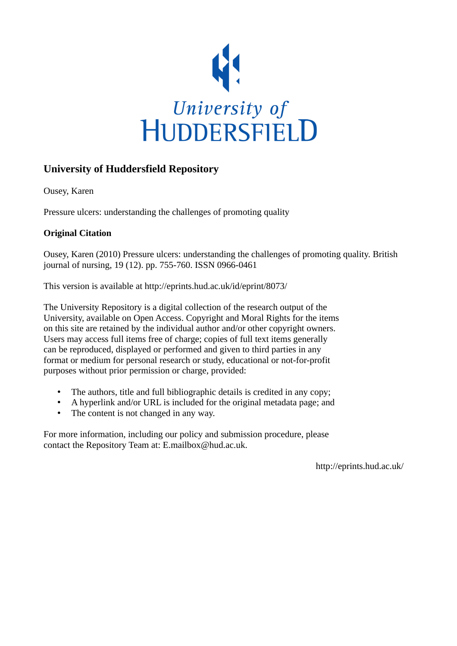

## **University of Huddersfield Repository**

Ousey, Karen

Pressure ulcers: understanding the challenges of promoting quality

## **Original Citation**

Ousey, Karen (2010) Pressure ulcers: understanding the challenges of promoting quality. British journal of nursing, 19 (12). pp. 755-760. ISSN 0966-0461

This version is available at http://eprints.hud.ac.uk/id/eprint/8073/

The University Repository is a digital collection of the research output of the University, available on Open Access. Copyright and Moral Rights for the items on this site are retained by the individual author and/or other copyright owners. Users may access full items free of charge; copies of full text items generally can be reproduced, displayed or performed and given to third parties in any format or medium for personal research or study, educational or not-for-profit purposes without prior permission or charge, provided:

- The authors, title and full bibliographic details is credited in any copy;
- A hyperlink and/or URL is included for the original metadata page; and
- The content is not changed in any way.

For more information, including our policy and submission procedure, please contact the Repository Team at: E.mailbox@hud.ac.uk.

http://eprints.hud.ac.uk/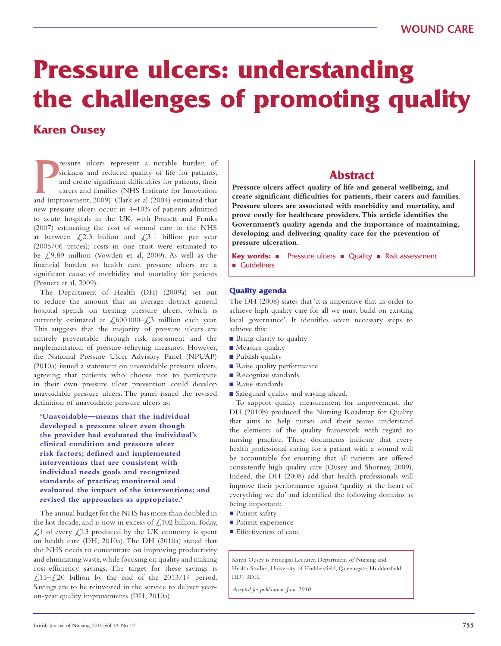# **Pressure ulcers: understanding the challenges of promoting quality**

# **Karen Ousey**

Fessure ulcers represent a notable burden of sickness and reduced quality of life for patients, and create significant difficulties for patients, their carers and families (NHS Institute for Innovation and Improvement, 200 ressure ulcers represent a notable burden of sickness and reduced quality of life for patients, and create significant difficulties for patients, their carers and families (NHS Institute for Innovation new pressure ulcers occur in 4–10% of patients admitted to acute hospitals in the UK, with Posnett and Franks (2007) estimating the cost of wound care to the NHS at between  $\text{\textsterling}2.3$  biilion and  $\text{\textsterling}3.1$  billion per year (2005/06 prices); costs in one trust were estimated to be  $\text{\textsterling}9.89$  million (Vowden et al, 2009). As well as the financial burden to health care, pressure ulcers are a significant cause of morbidity and mortality for patients (Posnett et al, 2009).

The Department of Health (DH) (2009a) set out to reduce the amount that an average district general hospital spends on treating pressure ulcers, which is currently estimated at  $\text{\textsterling}600\,000-\text{\textsterling}3$  million each year. This suggests that the majority of pressure ulcers are entirely preventable through risk assessment and the implementation of pressure-relieving measures. However, the National Pressure Ulcer Advisory Panel (NPUAP) (2010a) issued a statement on unavoidable pressure ulcers, agreeing that patients who choose not to participate in their own pressure ulcer prevention could develop unavoidable pressure ulcers. The panel issued the revised definition of unavoidable pressure ulcers as:

**'Unavoidable—means that the individual developed a pressure ulcer even though the provider had evaluated the individual's clinical condition and pressure ulcer risk factors; defined and implemented interventions that are consistent with individual needs goals and recognized standards of practice; monitored and evaluated the impact of the interventions; and revised the approaches as appropriate.'**

The annual budget for the NHS has more than doubled in the last decade, and is now in excess of  $\mathcal{L}102$  billion. Today,  $\angle$  1.1 of every  $\angle$  1.13 produced by the UK economy is spent on health care (DH, 2010a). The DH (2010a) stated that the NHS needs to concentrate on improving productivity and eliminating waste, while focusing on quality and making cost-efficiency savings. The target for these savings is £,15– $\angle$ 20 billion by the end of the 2013/14 period. Savings are to be reinvested in the service to deliver yearon-year quality improvements (DH, 2010a).

## **Abstract**

**Pressure ulcers affect quality of life and general wellbeing, and create significant difficulties for patients, their carers and families. Pressure ulcers are associated with morbidity and mortality, and prove costly for healthcare providers. This article identifies the Government's quality agenda and the importance of maintaining, developing and delivering quality care for the prevention of pressure ulceration.** 

**Key words:** nPressure ulcers n Quality n Risk assessment **n** Guidelines

#### **Quality agenda**

The DH (2008) states that 'it is imperative that in order to achieve high quality care for all we must build on existing local governance'. It identifies seven necessary steps to achieve this:

- Bring clarity to quality
- Measure quality
- Publish quality
- Raise quality performance
- Recognize standards
- Raise standards
- Safeguard quality and staying ahead.

To support quality measurement for improvement, the DH (2010b) produced the Nursing Roadmap for Quality that aims to help nurses and their teams understand the elements of the quality framework with regard to nursing practice. These documents indicate that every health professional caring for a patient with a wound will be accountable for ensuring that all patients are offered consistently high quality care (Ousey and Shorney, 2009). Indeed, the DH (2008) add that health professionals will improve their performance against 'quality at the heart of everything we do' and identified the following domains as being important:

- **n** Patient safety
- Patient experience
- $\blacksquare$  Effectiveness of care.

Karen Ousey is Principal Lecturer, Department of Nursing and Health Studies, University of Huddersfield, Queensgate, Huddersfield, HD1 3DH.

*Accepted for publication: June 2010*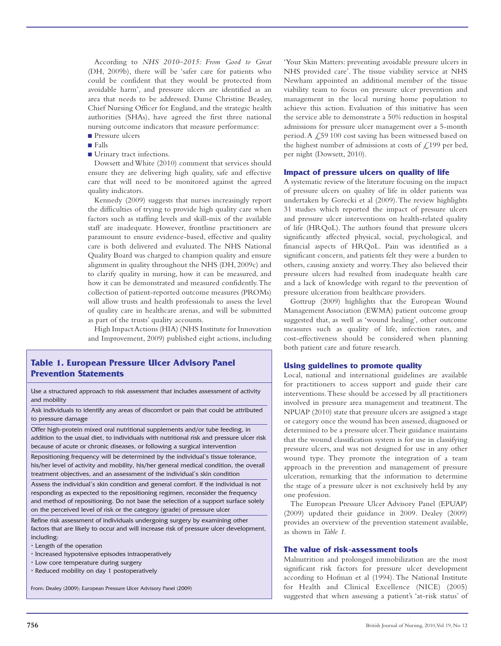According to *NHS 2010–2015: From Good to Great* (DH, 2009b), there will be 'safer care for patients who could be confident that they would be protected from avoidable harm', and pressure ulcers are identified as an area that needs to be addressed. Dame Christine Beasley, Chief Nursing Officer for England, and the strategic health authorities (SHAs), have agreed the first three national nursing outcome indicators that measure performance:

- Pressure ulcers
- Falls
- Urinary tract infections.

Dowsett and White (2010) comment that services should ensure they are delivering high quality, safe and effective care that will need to be monitored against the agreed quality indicators.

Kennedy (2009) suggests that nurses increasingly report the difficulties of trying to provide high quality care when factors such as staffing levels and skill-mix of the available staff are inadequate. However, frontline practitioners are paramount to ensure evidence-based, effective and quality care is both delivered and evaluated. The NHS National Quality Board was charged to champion quality and ensure alignment in quality throughout the NHS (DH, 2009c) and to clarify quality in nursing, how it can be measured, and how it can be demonstrated and measured confidently. The collection of patient-reported outcome measures (PROMs) will allow trusts and health professionals to assess the level of quality care in healthcare arenas, and will be submitted as part of the trusts' quality accounts.

High Impact Actions (HIA) (NHS Institute for Innovation and Improvement, 2009) published eight actions, including

#### **Table 1. European Pressure Ulcer Advisory Panel Prevention Statements**

Use a structured approach to risk assessment that includes assessment of activity and mobility

Ask individuals to identify any areas of discomfort or pain that could be attributed to pressure damage

Offer high-protein mixed oral nutritional supplements and/or tube feeding, in addition to the usual diet, to individuals with nutritional risk and pressure ulcer risk because of acute or chronic diseases, or following a surgical intervention

Repositioning frequency will be determined by the individual's tissue tolerance, his/her level of activity and mobility, his/her general medical condition, the overall treatment objectives, and an assessment of the individual's skin condition

Assess the individual's skin condition and general comfort. If the individual is not responding as expected to the repositioning regimen, reconsider the frequency and method of repositioning. Do not base the selection of a support surface solely on the perceived level of risk or the category (grade) of pressure ulcer

Refine risk assessment of individuals undergoing surgery by examining other factors that are likely to occur and will increase risk of pressure ulcer development, including:

- Length of the operation
- Increased hypotensive episodes intraoperatively
- Low core temperature during surgery
- Reduced mobility on day 1 postoperatively

From: Dealey (2009); European Pressure Ulcer Advisory Panel (2009)

'Your Skin Matters: preventing avoidable pressure ulcers in NHS provided care'. The tissue viability service at NHS Newham appointed an additional member of the tissue viability team to focus on pressure ulcer prevention and management in the local nursing home population to achieve this action. Evaluation of this initiative has seen the service able to demonstrate a 50% reduction in hospital admissions for pressure ulcer management over a 5-month period. A  $\angle$  59 100 cost saving has been witnessed based on the highest number of admissions at costs of  $\mathcal{L}$ , 199 per bed, per night (Dowsett, 2010).

#### **Impact of pressure ulcers on quality of life**

A systematic review of the literature focusing on the impact of pressure ulcers on quality of life in older patients was undertaken by Gorecki et al (2009). The review highlights 31 studies which reported the impact of pressure ulcers and pressure ulcer interventions on health-related quality of life (HRQoL). The authors found that pressure ulcers significantly affected physical, social, psychological, and financial aspects of HRQoL. Pain was identified as a significant concern, and patients felt they were a burden to others, causing anxiety and worry. They also believed their pressure ulcers had resulted from inadequate health care and a lack of knowledge with regard to the prevention of pressure ulceration from healthcare providers.

Gottrup (2009) highlights that the European Wound Management Association (EWMA) patient outcome group suggested that, as well as 'wound healing', other outcome measures such as quality of life, infection rates, and cost-effectiveness should be considered when planning both patient care and future research.

#### **Using guidelines to promote quality**

Local, national and international guidelines are available for practitioners to access support and guide their care interventions. These should be accessed by all practitioners involved in pressure area management and treatment. The NPUAP (2010) state that pressure ulcers are assigned a stage or category once the wound has been assessed, diagnosed or determined to be a pressure ulcer. Their guidance maintains that the wound classification system is for use in classifying pressure ulcers, and was not designed for use in any other wound type. They promote the integration of a team approach in the prevention and management of pressure ulceration, remarking that the information to determine the stage of a pressure ulcer is not exclusively held by any one profession.

The European Pressure Ulcer Advisory Panel (EPUAP) (2009) updated their guidance in 2009. Dealey (2009) provides an overview of the prevention statement available, as shown in *Table 1*.

#### **The value of risk-assessment tools**

Malnutrition and prolonged immobilization are the most significant risk factors for pressure ulcer development according to Hofman et al (1994). The National Institute for Health and Clinical Excellence (NICE) (2005) suggested that when assessing a patient's 'at-risk status' of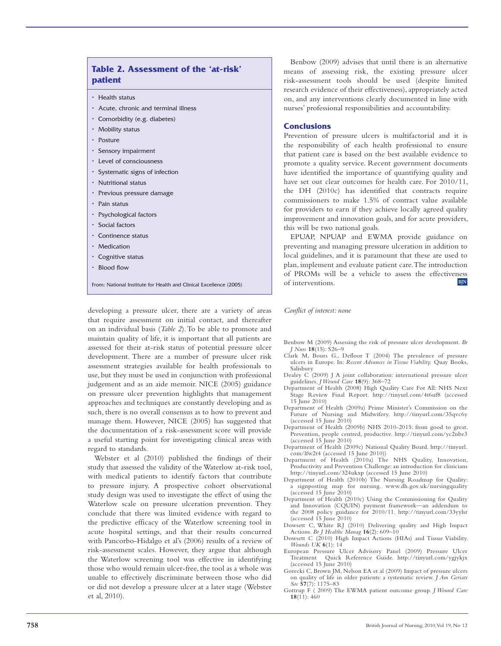## **Table 2. Assessment of the 'at-risk' patient**

- Health status
- Acute, chronic and terminal illness
- Comorbidity (e.g. diabetes)
- Mobility status
- Posture
- Sensory impairment
- Level of consciousness
- Systematic signs of infection
- Nutritional status
- Previous pressure damage
- Pain status
- Psychological factors
- Social factors
- Continence status
- Medication
- Cognitive status
- Blood flow

From: National Institute for Health and Clinical Excellence (2005)

developing a pressure ulcer, there are a variety of areas that require assessment on initial contact, and thereafter on an individual basis (*Table 2*). To be able to promote and maintain quality of life, it is important that all patients are assessed for their at-risk status of potential pressure ulcer development. There are a number of pressure ulcer risk assessment strategies available for health professionals to use, but they must be used in conjunction with professional judgement and as an aide memoir. NICE (2005) guidance on pressure ulcer prevention highlights that management approaches and techniques are constantly developing and as such, there is no overall consensus as to how to prevent and manage them. However, NICE (2005) has suggested that the documentation of a risk-assessment score will provide a useful starting point for investigating clinical areas with regard to standards.

Webster et al (2010) published the findings of their study that assessed the validity of the Waterlow at-risk tool, with medical patients to identify factors that contribute to pressure injury. A prospective cohort observational study design was used to investigate the effect of using the Waterlow scale on pressure ulceration prevention. They conclude that there was limited evidence with regard to the predictive efficacy of the Waterlow screening tool in acute hospital settings, and that their results concurred with Pancorbo-Hidalgo et al's (2006) results of a review of risk-assessment scales. However, they argue that although the Waterlow screening tool was effective in identifying those who would remain ulcer-free, the tool as a whole was unable to effectively discriminate between those who did or did not develop a pressure ulcer at a later stage (Webster et al, 2010).

Benbow (2009) advises that until there is an alternative means of assessing risk, the existing pressure ulcer risk-assessment tools should be used (despite limited research evidence of their effectiveness), appropriately acted on, and any interventions clearly documented in line with nurses' professional responsibilities and accountability.

#### **Conclusions**

Prevention of pressure ulcers is multifactorial and it is the responsibility of each health professional to ensure that patient care is based on the best available evidence to promote a quality service. Recent government documents have identified the importance of quantifying quality and have set out clear outcomes for health care. For 2010/11, the DH (2010c) has identified that contracts require commissioners to make 1.5% of contract value available for providers to earn if they achieve locally agreed quality improvement and innovation goals, and for acute providers, this will be two national goals.

EPUAP, NPUAP and EWMA provide guidance on preventing and managing pressure ulceration in addition to local guidelines, and it is paramount that these are used to plan, implement and evaluate patient care. The introduction of PROMs will be a vehicle to assess the effectiveness of interventions. **BJN**

*Conflict of interest: none*

Benbow M (2009) Assessing the risk of pressure ulcer development. *Br J Nurs* **18**(15): S26–9

- Clark M, Bours G., Defloor T (2004) The prevalence of pressure ulcers in Europe. In: *Recent Advances in Tissue Viability.* Quay Books, Salisbury
- Dealey C (2009) J A joint collaboration: international pressure ulcer guidelines. *J Wound Care* **18**(9): 368–72
- Department of Health (2008) High Quality Care For All: NHS Next Stage Review Final Report. http://tinyurl.com/4t6uf8 (accessed 15 June 2010)
- Department of Health (2009a) Prime Minister's Commission on the Future of Nursing and Midwifery. http://tinyurl.com/35qvc6y (accessed 15 June 2010)
- Department of Health (2009b) NHS 2010-2015: from good to great. Prevention, people centred, productive. http://tinyurl.com/yc2nbe3 (accessed 15 June 2010)
- Department of Health (2009c) National Quality Board. http://tinyurl. com/lfw2t4 (accessed 15 June 2010))
- Department of Health (2010a) The NHS Quality, Innovation, Productivity and Prevention Challenge: an introduction for clinicians http://tinyurl.com/324ukxp (accessed 15 June 2010)
- Department of Health (2010b) The Nursing Roadmap for Quality: signposting map for nursing. www.dh.gov.uk/nursingquality (accessed 15 June 2010)
- Department of Health (2010c) Using the Commissioning for Quality and Innovation (CQUIN) payment framework—an addendum to the 2008 policy guidance for 2010/11. http://tinyurl.com/33yylsr (accessed 15 June 2010)
- Dowsett C, White RJ (2010) Delivering quality and High Impact Actions. *Br J Healthc Manag* **16**(2): 609–10
- Dowsett C (2010) High Impact Actions (HIAs) and Tissue Viability. *Wounds UK* **6**(1): 14
- European Pressure Ulcer Advisory Panel (2009) Pressure Ulcer Treatment Quick Reference Guide. http://tinyurl.com/ygjykjx (accessed 15 June 2010)
- Gorecki C, Brown JM, Nelson EA et al (2009) Impact of pressure ulcers on quality of life in older patients: a systematic review. *J Am Geriatr Soc* **57**(7): 1175–83
- Gottrup F ( 2009) The EWMA patient outcome group. *J Wound Care* **18**(11): 460